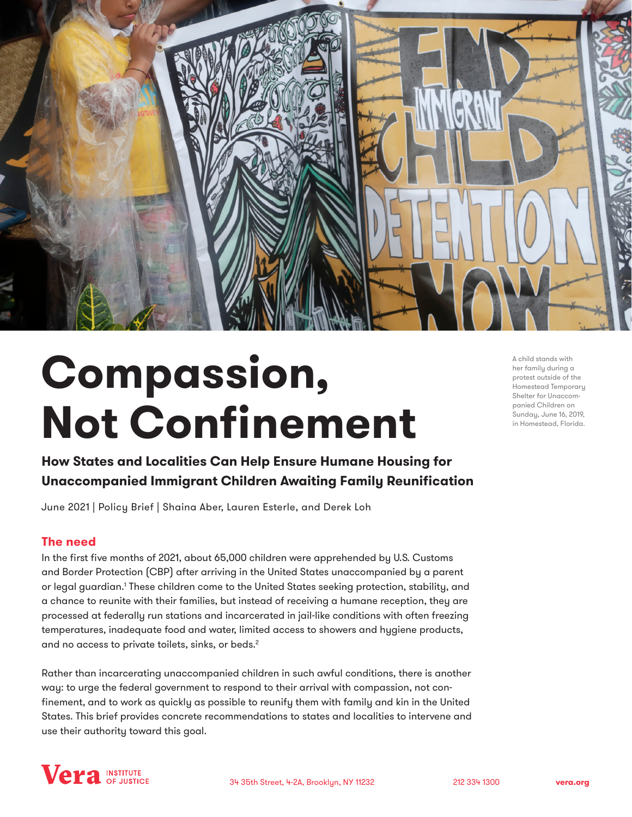

# **Compassion, Not Confinement**

A child stands with her family during a protest outside of the Homestead Temporary Shelter for Unaccompanied Children on Sunday, June 16, 2019, in Homestead, Florida.

**How States and Localities Can Help Ensure Humane Housing for Unaccompanied Immigrant Children Awaiting Family Reunification**

June 2021 | Policy Brief | Shaina Aber, Lauren Esterle, and Derek Loh

## **The need**

In the first five months of 2021, about 65,000 children were apprehended by U.S. Customs and Border Protection (CBP) after arriving in the United States unaccompanied by a parent or legal guardian.' These children come to the United States seeking protection, stability, and a chance to reunite with their families, but instead of receiving a humane reception, they are processed at federally run stations and incarcerated in jail-like conditions with often freezing temperatures, inadequate food and water, limited access to showers and hygiene products, and no access to private toilets, sinks, or beds.<sup>2</sup>

Rather than incarcerating unaccompanied children in such awful conditions, there is another way: to urge the federal government to respond to their arrival with compassion, not confinement, and to work as quickly as possible to reunify them with family and kin in the United States. This brief provides concrete recommendations to states and localities to intervene and use their authority toward this goal.

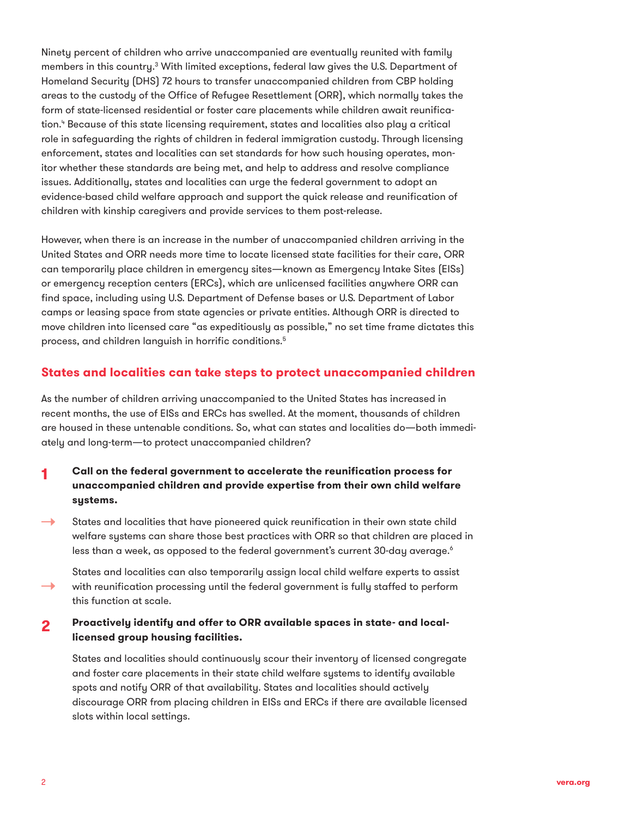Ninety percent of children who arrive unaccompanied are eventually reunited with family members in this country.<sup>3</sup> With limited exceptions, federal law gives the U.S. Department of Homeland Security (DHS) 72 hours to transfer unaccompanied children from CBP holding areas to the custody of the Office of Refugee Resettlement (ORR), which normally takes the form of state-licensed residential or foster care placements while children await reunification." Because of this state licensing requirement, states and localities also play a critical role in safeguarding the rights of children in federal immigration custody. Through licensing enforcement, states and localities can set standards for how such housing operates, monitor whether these standards are being met, and help to address and resolve compliance issues. Additionally, states and localities can urge the federal government to adopt an evidence-based child welfare approach and support the quick release and reunification of children with kinship caregivers and provide services to them post-release.

However, when there is an increase in the number of unaccompanied children arriving in the United States and ORR needs more time to locate licensed state facilities for their care, ORR can temporarily place children in emergency sites—known as Emergency Intake Sites (EISs) or emergency reception centers (ERCs), which are unlicensed facilities anywhere ORR can find space, including using U.S. Department of Defense bases or U.S. Department of Labor camps or leasing space from state agencies or private entities. Although ORR is directed to move children into licensed care "as expeditiously as possible," no set time frame dictates this process, and children languish in horrific conditions.5

### **States and localities can take steps to protect unaccompanied children**

As the number of children arriving unaccompanied to the United States has increased in recent months, the use of EISs and ERCs has swelled. At the moment, thousands of children are housed in these untenable conditions. So, what can states and localities do—both immediately and long-term—to protect unaccompanied children?

### **1 Call on the federal government to accelerate the reunification process for unaccompanied children and provide expertise from their own child welfare systems.**

States and localities that have pioneered quick reunification in their own state child  $\rightarrow$ welfare systems can share those best practices with ORR so that children are placed in less than a week, as opposed to the federal government's current 30-day average. $^{\circ}$ 

States and localities can also temporarily assign local child welfare experts to assist with reunification processing until the federal government is fully staffed to perform  $\rightarrow$ this function at scale.

### **2 Proactively identify and offer to ORR available spaces in state- and locallicensed group housing facilities.**

States and localities should continuously scour their inventory of licensed congregate and foster care placements in their state child welfare systems to identify available spots and notify ORR of that availability. States and localities should actively discourage ORR from placing children in EISs and ERCs if there are available licensed slots within local settings.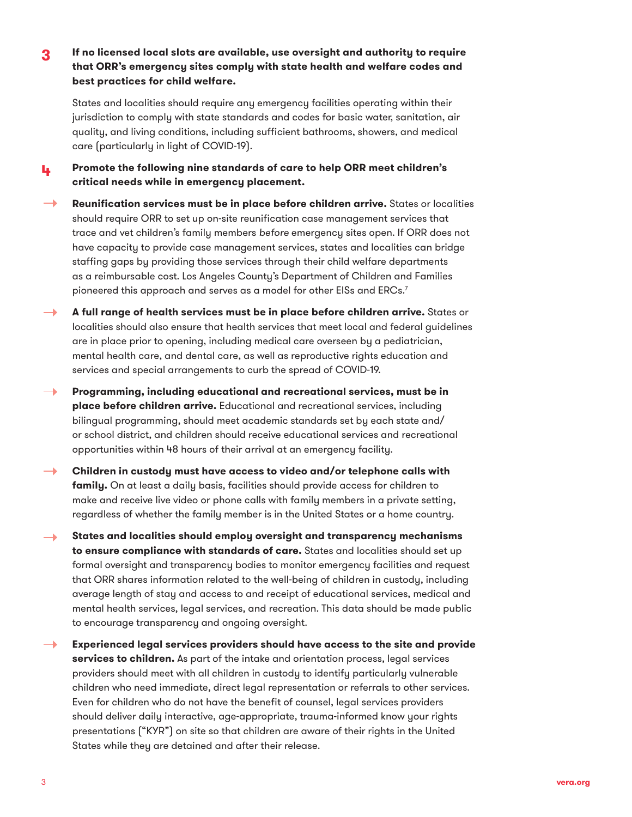**3 If no licensed local slots are available, use oversight and authority to require that ORR's emergency sites comply with state health and welfare codes and best practices for child welfare.** 

States and localities should require any emergency facilities operating within their jurisdiction to comply with state standards and codes for basic water, sanitation, air quality, and living conditions, including sufficient bathrooms, showers, and medical care (particularly in light of COVID-19).

**4 Promote the following nine standards of care to help ORR meet children's critical needs while in emergency placement.**

**Reunification services must be in place before children arrive.** States or localities should require ORR to set up on-site reunification case management services that trace and vet children's family members *before* emergency sites open. If ORR does not have capacity to provide case management services, states and localities can bridge staffing gaps by providing those services through their child welfare departments as a reimbursable cost. Los Angeles County's Department of Children and Families pioneered this approach and serves as a model for other EISs and ERCs.<sup>7</sup>

- **A full range of health services must be in place before children arrive.** States or  $\rightarrow$ localities should also ensure that health services that meet local and federal guidelines are in place prior to opening, including medical care overseen by a pediatrician, mental health care, and dental care, as well as reproductive rights education and services and special arrangements to curb the spread of COVID-19.
- **Programming, including educational and recreational services, must be in**   $\rightarrow$ **place before children arrive.** Educational and recreational services, including bilingual programming, should meet academic standards set by each state and/ or school district, and children should receive educational services and recreational opportunities within 48 hours of their arrival at an emergency facility.
- **Children in custody must have access to video and/or telephone calls with family.** On at least a daily basis, facilities should provide access for children to make and receive live video or phone calls with family members in a private setting, regardless of whether the family member is in the United States or a home country.
- **States and localities should employ oversight and transparency mechanisms to ensure compliance with standards of care.** States and localities should set up formal oversight and transparency bodies to monitor emergency facilities and request that ORR shares information related to the well-being of children in custody, including average length of stay and access to and receipt of educational services, medical and mental health services, legal services, and recreation. This data should be made public to encourage transparency and ongoing oversight.
- $\rightarrow$ **Experienced legal services providers should have access to the site and provide services to children.** As part of the intake and orientation process, legal services providers should meet with all children in custody to identify particularly vulnerable children who need immediate, direct legal representation or referrals to other services. Even for children who do not have the benefit of counsel, legal services providers should deliver daily interactive, age-appropriate, trauma-informed know your rights presentations ("KYR") on site so that children are aware of their rights in the United States while they are detained and after their release.